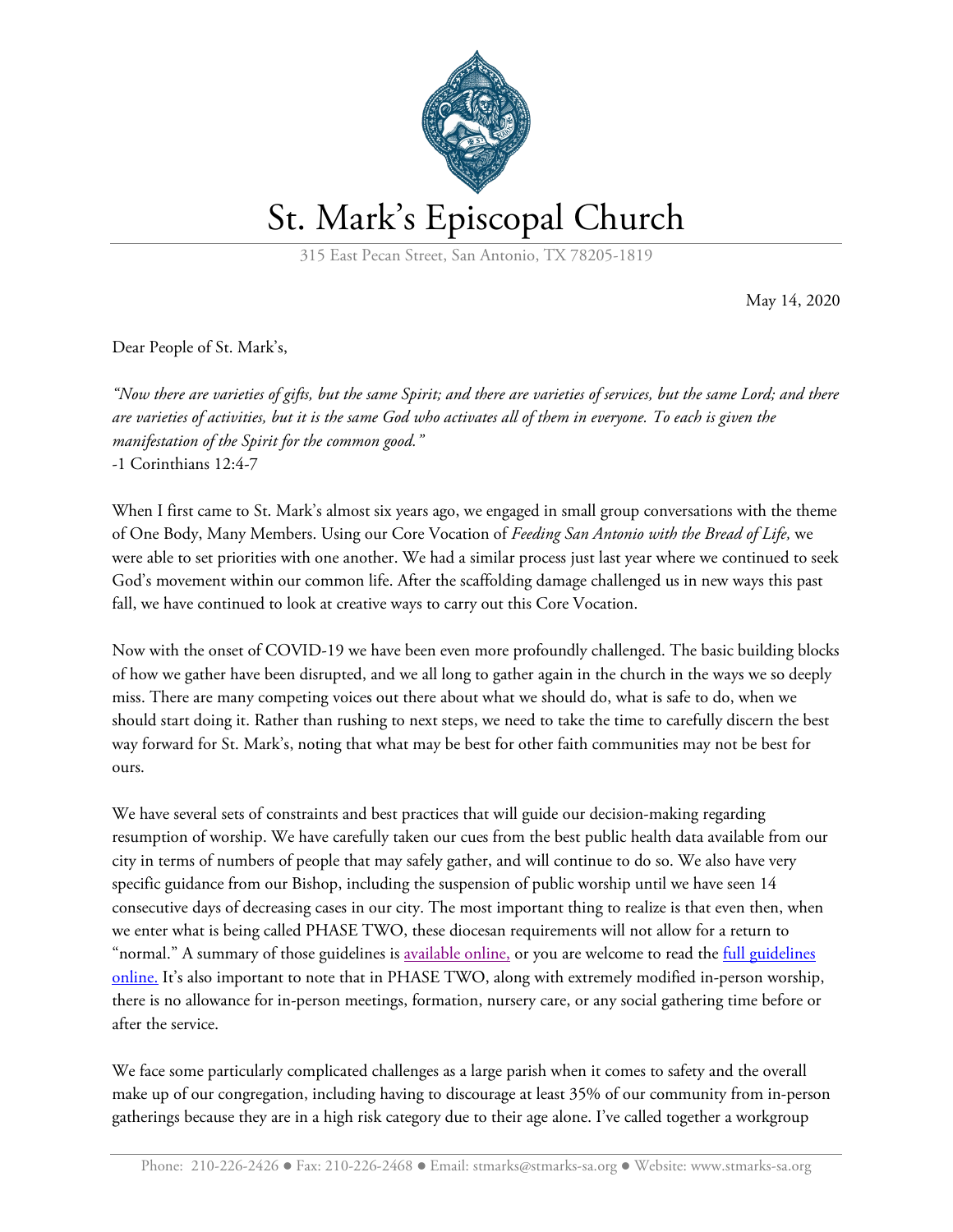

## St. Mark's Episcopal Church

315 East Pecan Street, San Antonio, TX 78205-1819

May 14, 2020

Dear People of St. Mark's,

"Now there are varieties of gifts, but the same Spirit; and there are varieties of services, but the same Lord; and there are varieties of activities, but it is the same God who activates all of them in everyone. To each is given the *manifestation of the Spirit for the common good."* -1 Corinthians 12:4-7

When I first came to St. Mark's almost six years ago, we engaged in small group conversations with the theme of One Body, Many Members. Using our Core Vocation of *Feeding San Antonio with the Bread of Life,* we were able to set priorities with one another. We had a similar process just last year where we continued to seek God's movement within our common life. After the scaffolding damage challenged us in new ways this past fall, we have continued to look at creative ways to carry out this Core Vocation.

Now with the onset of COVID-19 we have been even more profoundly challenged. The basic building blocks of how we gather have been disrupted, and we all long to gather again in the church in the ways we so deeply miss. There are many competing voices out there about what we should do, what is safe to do, when we should start doing it. Rather than rushing to next steps, we need to take the time to carefully discern the best way forward for St. Mark's, noting that what may be best for other faith communities may not be best for ours.

We have several sets of constraints and best practices that will guide our decision-making regarding resumption of worship. We have carefully taken our cues from the best public health data available from our city in terms of numbers of people that may safely gather, and will continue to do so. We also have very specific guidance from our Bishop, including the suspension of public worship until we have seen 14 consecutive days of decreasing cases in our city. The most important thing to realize is that even then, when we enter what is being called PHASE TWO, these diocesan requirements will not allow for a return to "normal." A summary of those guidelines is [available](https://def509645108aca7d5e9-5c0d6ea9a8329fb4262657be0ddee0b6.ssl.cf2.rackcdn.com/uploaded/d/0e10400181_1589395404_dwtx-guideline-summary-final-1-1.pdf) online, or you are welcome to read the *full [guidelines](https://def509645108aca7d5e9-5c0d6ea9a8329fb4262657be0ddee0b6.ssl.cf2.rackcdn.com/uploaded/d/0e10399756_1589388088_dwtx-guidelines-for-phased-reopening-of-churches-05012020.pdf)* [online.](https://def509645108aca7d5e9-5c0d6ea9a8329fb4262657be0ddee0b6.ssl.cf2.rackcdn.com/uploaded/d/0e10399756_1589388088_dwtx-guidelines-for-phased-reopening-of-churches-05012020.pdf) It's also important to note that in PHASE TWO, along with extremely modified in-person worship, there is no allowance for in-person meetings, formation, nursery care, or any social gathering time before or after the service.

We face some particularly complicated challenges as a large parish when it comes to safety and the overall make up of our congregation, including having to discourage at least 35% of our community from in-person gatherings because they are in a high risk category due to their age alone. I've called together a workgroup